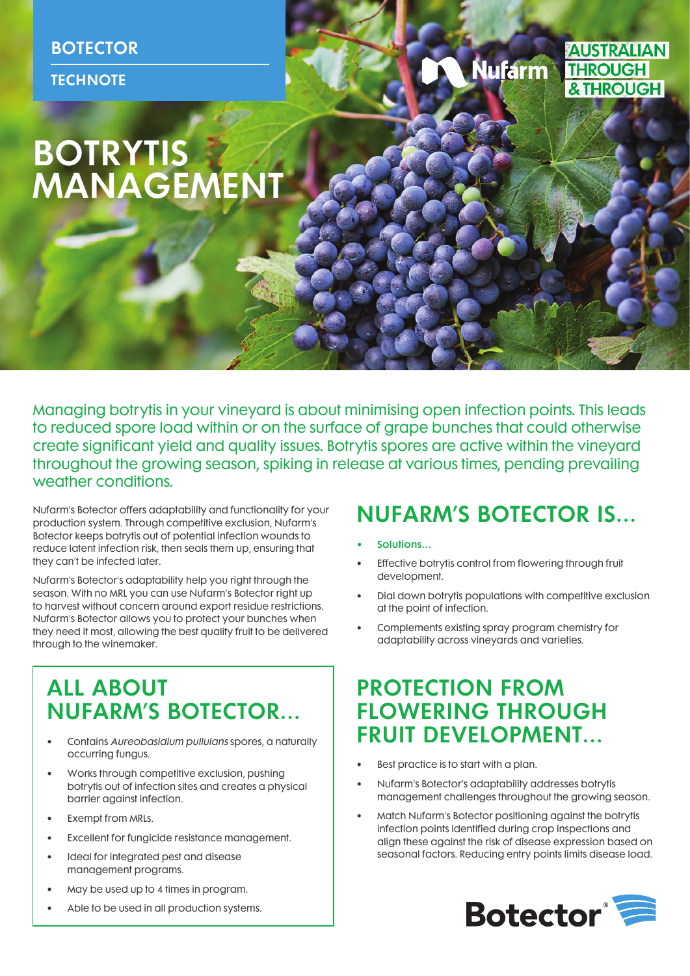**AUSTRALIAN Nufarm THROUGH** & THROUGH

# **BOTRYTIS MANAGEMENT**

Managing botrytis in your vineyard is about minimising open infection points. This leads to reduced spore load within or on the surface of grape bunches that could otherwise create significant yield and quality issues. Botrytis spores are active within the vineyard throughout the growing season, spiking in release at various times, pending prevailing weather conditions.

Nufarm's Botector offers adaptability and functionality for your production system. Through competitive exclusion, Nufarm's Botector keeps botrytis out of potential infection wounds to reduce latent infection risk, then seals them up, ensuring that they can't be infected later.

Nufarm's Botector's adaptability help you right through the season. With no MRL you can use Nufarm's Botector right up to harvest without concern around export residue restrictions. Nufarm's Botector allows you to protect your bunches when they need it most, allowing the best quality fruit to be delivered through to the winemaker.

# ALL ABOUT NUFARM'S BOTECTOR…

- Contains Aureobasidium pullulans spores, a naturally occurring fungus.
- Works through competitive exclusion, pushing botrytis out of infection sites and creates a physical barrier against infection.
- Exempt from MRLs.
- Excellent for fungicide resistance management.
- Ideal for integrated pest and disease management programs.
- May be used up to 4 times in program.
- Able to be used in all production systems.

# NUFARM'S BOTECTOR IS…

- Solutions...
- Effective botrytis control from flowering through fruit development.
- Dial down botrytis populations with competitive exclusion at the point of infection.
- Complements existing spray program chemistry for adaptability across vineyards and varieties.

### PROTECTION FROM FLOWERING THROUGH FRUIT DEVELOPMENT…

- Best practice is to start with a plan.
- Nufarm's Botector's adaptability addresses botrytis management challenges throughout the growing season.
- Match Nufarm's Botector positioning against the botrytis infection points identified during crop inspections and align these against the risk of disease expression based on seasonal factors. Reducing entry points limits disease load.